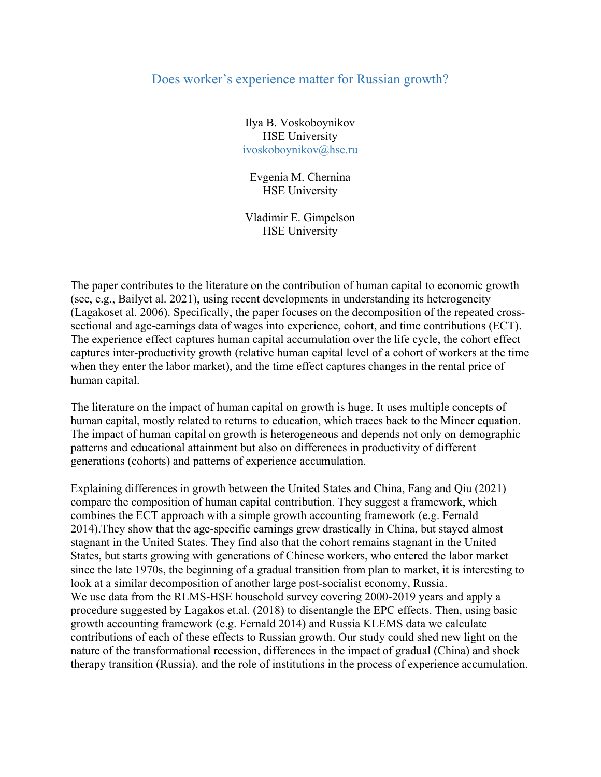## Does worker's experience matter for Russian growth?

Ilya B. Voskoboynikov HSE University ivoskoboynikov@hse.ru

Evgenia M. Chernina HSE University

Vladimir E. Gimpelson HSE University

The paper contributes to the literature on the contribution of human capital to economic growth (see, e.g., Bailyet al. 2021), using recent developments in understanding its heterogeneity (Lagakoset al. 2006). Specifically, the paper focuses on the decomposition of the repeated crosssectional and age-earnings data of wages into experience, cohort, and time contributions (ECT). The experience effect captures human capital accumulation over the life cycle, the cohort effect captures inter-productivity growth (relative human capital level of a cohort of workers at the time when they enter the labor market), and the time effect captures changes in the rental price of human capital.

The literature on the impact of human capital on growth is huge. It uses multiple concepts of human capital, mostly related to returns to education, which traces back to the Mincer equation. The impact of human capital on growth is heterogeneous and depends not only on demographic patterns and educational attainment but also on differences in productivity of different generations (cohorts) and patterns of experience accumulation.

Explaining differences in growth between the United States and China, Fang and Qiu (2021) compare the composition of human capital contribution. They suggest a framework, which combines the ECT approach with a simple growth accounting framework (e.g. Fernald 2014).They show that the age-specific earnings grew drastically in China, but stayed almost stagnant in the United States. They find also that the cohort remains stagnant in the United States, but starts growing with generations of Chinese workers, who entered the labor market since the late 1970s, the beginning of a gradual transition from plan to market, it is interesting to look at a similar decomposition of another large post-socialist economy, Russia. We use data from the RLMS-HSE household survey covering 2000-2019 years and apply a procedure suggested by Lagakos et.al. (2018) to disentangle the EPC effects. Then, using basic growth accounting framework (e.g. Fernald 2014) and Russia KLEMS data we calculate contributions of each of these effects to Russian growth. Our study could shed new light on the nature of the transformational recession, differences in the impact of gradual (China) and shock therapy transition (Russia), and the role of institutions in the process of experience accumulation.